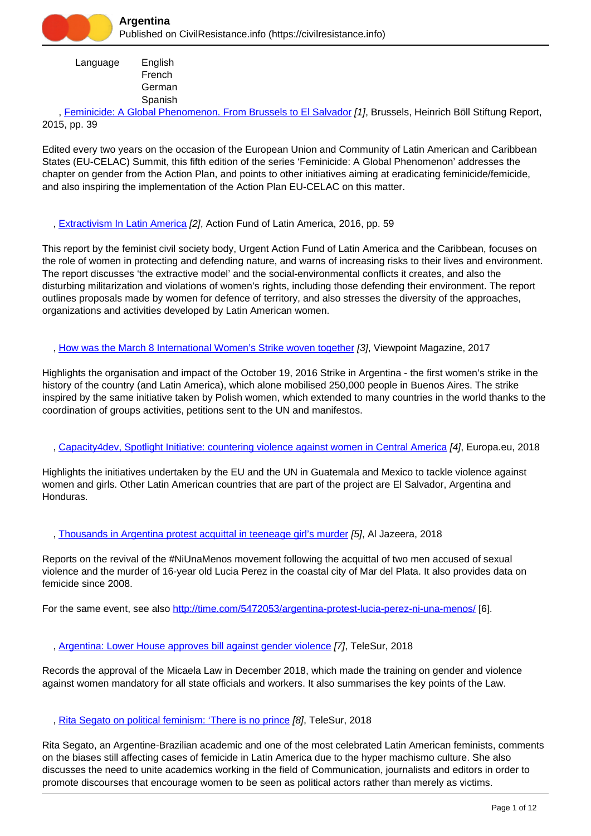

 Language English French **German** Spanish

, [Feminicide: A Global Phenomenon. From Brussels to El Salvador](https://civilresistance.info/biblio-item/2015/feminicide-global-phenomenon-brussels-el-salvador) [1], Brussels, Heinrich Böll Stiftung Report, 2015, pp. 39

Edited every two years on the occasion of the European Union and Community of Latin American and Caribbean States (EU-CELAC) Summit, this fifth edition of the series 'Feminicide: A Global Phenomenon' addresses the chapter on gender from the Action Plan, and points to other initiatives aiming at eradicating feminicide/femicide, and also inspiring the implementation of the Action Plan EU-CELAC on this matter.

, [Extractivism In Latin America](https://civilresistance.info/biblio-item/2016/extractivism-latin-america) [2], Action Fund of Latin America, 2016, pp. 59

This report by the feminist civil society body, Urgent Action Fund of Latin America and the Caribbean, focuses on the role of women in protecting and defending nature, and warns of increasing risks to their lives and environment. The report discusses 'the extractive model' and the social-environmental conflicts it creates, and also the disturbing militarization and violations of women's rights, including those defending their environment. The report outlines proposals made by women for defence of territory, and also stresses the diversity of the approaches, organizations and activities developed by Latin American women.

, [How was the March 8 International Women's Strike woven together](https://civilresistance.info/biblio-item/2017/how-was-march-8-international-womens-strike-woven-together) [3], Viewpoint Magazine, 2017

Highlights the organisation and impact of the October 19, 2016 Strike in Argentina - the first women's strike in the history of the country (and Latin America), which alone mobilised 250,000 people in Buenos Aires. The strike inspired by the same initiative taken by Polish women, which extended to many countries in the world thanks to the coordination of groups activities, petitions sent to the UN and manifestos.

## , [Capacity4dev, Spotlight Initiative: countering violence against women in Central America](https://civilresistance.info/biblio-item/2018/capacity4dev-spotlight-initiative-countering-violence-against-women-central-america) [4], Europa.eu, 2018

Highlights the initiatives undertaken by the EU and the UN in Guatemala and Mexico to tackle violence against women and girls. Other Latin American countries that are part of the project are El Salvador, Argentina and Honduras.

, [Thousands in Argentina protest acquittal in teeneage girl's murder](https://civilresistance.info/biblio-item/2018/thousands-argentina-protest-acquittal-teeneage-girls-murder) [5], Al Jazeera, 2018

Reports on the revival of the #NiUnaMenos movement following the acquittal of two men accused of sexual violence and the murder of 16-year old Lucia Perez in the coastal city of Mar del Plata. It also provides data on femicide since 2008.

For the same event, see also<http://time.com/5472053/argentina-protest-lucia-perez-ni-una-menos/> [6].

, [Argentina: Lower House approves bill against gender violence](https://civilresistance.info/biblio-item/2018/argentina-lower-house-approves-bill-against-gender-violence) [7], TeleSur, 2018

Records the approval of the Micaela Law in December 2018, which made the training on gender and violence against women mandatory for all state officials and workers. It also summarises the key points of the Law.

, [Rita Segato on political feminism: 'There is no prince](https://civilresistance.info/biblio-item/2018/rita-segato-political-feminism-there-no-prince) [8], TeleSur, 2018

Rita Segato, an Argentine-Brazilian academic and one of the most celebrated Latin American feminists, comments on the biases still affecting cases of femicide in Latin America due to the hyper machismo culture. She also discusses the need to unite academics working in the field of Communication, journalists and editors in order to promote discourses that encourage women to be seen as political actors rather than merely as victims.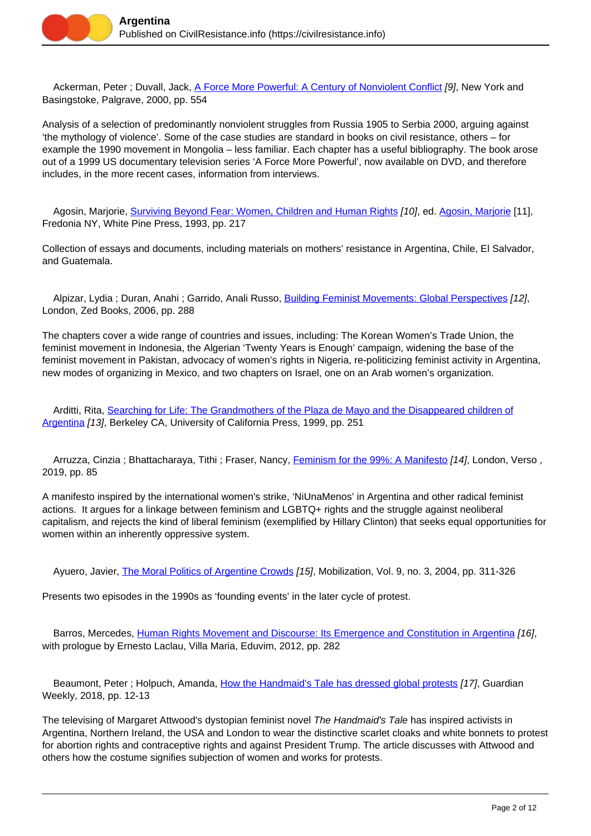

Ackerman, Peter ; Duvall, Jack, [A Force More Powerful: A Century of Nonviolent Conflict](https://civilresistance.info/biblio-item/2000/force-more-powerful-century-nonviolent-conflict) [9], New York and Basingstoke, Palgrave, 2000, pp. 554

Analysis of a selection of predominantly nonviolent struggles from Russia 1905 to Serbia 2000, arguing against 'the mythology of violence'. Some of the case studies are standard in books on civil resistance, others – for example the 1990 movement in Mongolia – less familiar. Each chapter has a useful bibliography. The book arose out of a 1999 US documentary television series 'A Force More Powerful', now available on DVD, and therefore includes, in the more recent cases, information from interviews.

Agosin, Marjorie, [Surviving Beyond Fear: Women, Children and Human Rights](https://civilresistance.info/biblio-item/1993/surviving-beyond-fear-women-children-and-human-rights) [10], ed. [Agosin, Marjorie](https://civilresistance.info/author/876) [11], Fredonia NY, White Pine Press, 1993, pp. 217

Collection of essays and documents, including materials on mothers' resistance in Argentina, Chile, El Salvador, and Guatemala.

Alpizar, Lydia ; Duran, Anahi ; Garrido, Anali Russo, [Building Feminist Movements: Global Perspectives](https://civilresistance.info/biblio-item/2006/building-feminist-movements-global-perspectives) [12], London, Zed Books, 2006, pp. 288

The chapters cover a wide range of countries and issues, including: The Korean Women's Trade Union, the feminist movement in Indonesia, the Algerian 'Twenty Years is Enough' campaign, widening the base of the feminist movement in Pakistan, advocacy of women's rights in Nigeria, re-politicizing feminist activity in Argentina, new modes of organizing in Mexico, and two chapters on Israel, one on an Arab women's organization.

 Arditti, Rita, [Searching for Life: The Grandmothers of the Plaza de Mayo and the Disappeared children of](https://civilresistance.info/biblio-item/1999/searching-life-grandmothers-plaza-de-mayo-and-disappeared-children-argentina) [Argentina](https://civilresistance.info/biblio-item/1999/searching-life-grandmothers-plaza-de-mayo-and-disappeared-children-argentina) [13], Berkeley CA, University of California Press, 1999, pp. 251

Arruzza, Cinzia; Bhattacharaya, Tithi; Fraser, Nancy, [Feminism for the 99%: A Manifesto](https://civilresistance.info/biblio-item/2019/feminism-99-manifesto) [14], London, Verso, 2019, pp. 85

A manifesto inspired by the international women's strike, 'NiUnaMenos' in Argentina and other radical feminist actions. It argues for a linkage between feminism and LGBTQ+ rights and the struggle against neoliberal capitalism, and rejects the kind of liberal feminism (exemplified by Hillary Clinton) that seeks equal opportunities for women within an inherently oppressive system.

Ayuero, Javier, [The Moral Politics of Argentine Crowds](https://civilresistance.info/biblio-item/2004/moral-politics-argentine-crowds) [15], Mobilization, Vol. 9, no. 3, 2004, pp. 311-326

Presents two episodes in the 1990s as 'founding events' in the later cycle of protest.

Barros, Mercedes, [Human Rights Movement and Discourse: Its Emergence and Constitution in Argentina](https://civilresistance.info/biblio-item/2012/human-rights-movement-and-discourse-its-emergence-and-constitution-argentina) [16], with prologue by Ernesto Laclau, Villa Maria, Eduvim, 2012, pp. 282

Beaumont, Peter ; Holpuch, Amanda, [How the Handmaid's Tale has dressed global protests](https://civilresistance.info/biblio-item/2018/how-handmaids-tale-has-dressed-global-protests) [17], Guardian Weekly, 2018, pp. 12-13

The televising of Margaret Attwood's dystopian feminist novel The Handmaid's Tale has inspired activists in Argentina, Northern Ireland, the USA and London to wear the distinctive scarlet cloaks and white bonnets to protest for abortion rights and contraceptive rights and against President Trump. The article discusses with Attwood and others how the costume signifies subjection of women and works for protests.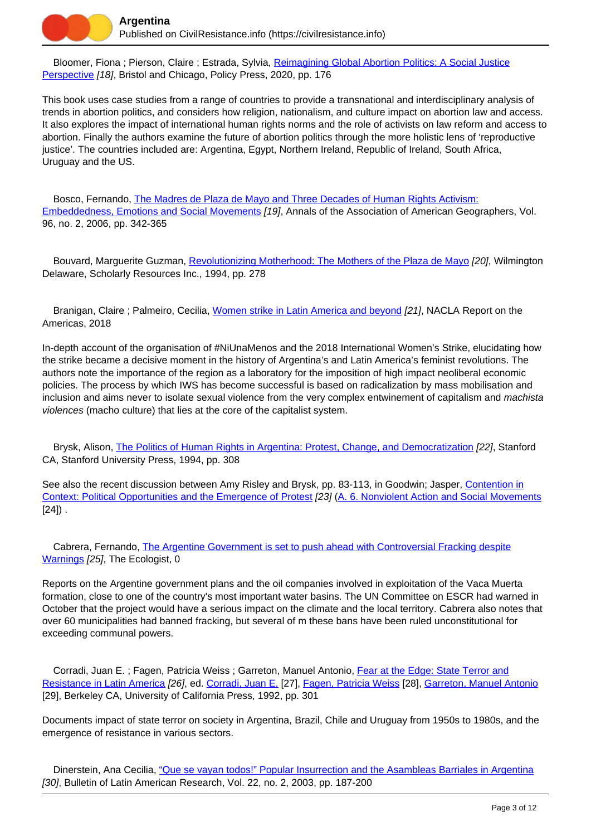Bloomer, Fiona ; Pierson, Claire ; Estrada, Sylvia, [Reimagining Global Abortion Politics: A Social Justice](https://civilresistance.info/biblio-item/2020/reimagining-global-abortion-politics-social-justice-perspective) [Perspective](https://civilresistance.info/biblio-item/2020/reimagining-global-abortion-politics-social-justice-perspective) [18], Bristol and Chicago, Policy Press, 2020, pp. 176

This book uses case studies from a range of countries to provide a transnational and interdisciplinary analysis of trends in abortion politics, and considers how religion, nationalism, and culture impact on abortion law and access. It also explores the impact of international human rights norms and the role of activists on law reform and access to abortion. Finally the authors examine the future of abortion politics through the more holistic lens of 'reproductive justice'. The countries included are: Argentina, Egypt, Northern Ireland, Republic of Ireland, South Africa, Uruguay and the US.

 Bosco, Fernando, [The Madres de Plaza de Mayo and Three Decades of Human Rights Activism:](https://civilresistance.info/biblio-item/2006/madres-de-plaza-de-mayo-and-three-decades-human-rights-activism-embeddedness) [Embeddedness, Emotions and Social Movements](https://civilresistance.info/biblio-item/2006/madres-de-plaza-de-mayo-and-three-decades-human-rights-activism-embeddedness) [19], Annals of the Association of American Geographers, Vol. 96, no. 2, 2006, pp. 342-365

 Bouvard, Marguerite Guzman, [Revolutionizing Motherhood: The Mothers of the Plaza de Mayo](https://civilresistance.info/biblio-item/1994/revolutionizing-motherhood-mothers-plaza-de-mayo) [20], Wilmington Delaware, Scholarly Resources Inc., 1994, pp. 278

Branigan, Claire ; Palmeiro, Cecilia, [Women strike in Latin America and beyond](https://civilresistance.info/biblio-item/2018/women-strike-latin-america-and-beyond-0) [21], NACLA Report on the Americas, 2018

In-depth account of the organisation of #NiUnaMenos and the 2018 International Women's Strike, elucidating how the strike became a decisive moment in the history of Argentina's and Latin America's feminist revolutions. The authors note the importance of the region as a laboratory for the imposition of high impact neoliberal economic policies. The process by which IWS has become successful is based on radicalization by mass mobilisation and inclusion and aims never to isolate sexual violence from the very complex entwinement of capitalism and machista violences (macho culture) that lies at the core of the capitalist system.

 Brysk, Alison, [The Politics of Human Rights in Argentina: Protest, Change, and Democratization](https://civilresistance.info/biblio-item/1994/politics-human-rights-argentina-protest-change-and-democratization) [22], Stanford CA, Stanford University Press, 1994, pp. 308

See also the recent discussion between Amy Risley and Brysk, pp. 83-113, in Goodwin; Jasper, [Contention in](https://civilresistance.info/biblio-item/2012/contention-context-political-opportunities-and-emergence-protest) [Context: Political Opportunities and the Emergence of Protest](https://civilresistance.info/biblio-item/2012/contention-context-political-opportunities-and-emergence-protest) [23] [\(A. 6. Nonviolent Action and Social Movements](https://civilresistance.info/section/introduction-nonviolent-action/6-nonviolent-action-and-social-movements)  $[24]$ .

Cabrera, Fernando, [The Argentine Government is set to push ahead with Controversial Fracking despite](https://civilresistance.info/biblio-item/argentine-government-set-push-ahead-controversial-fracking-despite-warnings) [Warnings](https://civilresistance.info/biblio-item/argentine-government-set-push-ahead-controversial-fracking-despite-warnings) [25], The Ecologist, 0

Reports on the Argentine government plans and the oil companies involved in exploitation of the Vaca Muerta formation, close to one of the country's most important water basins. The UN Committee on ESCR had warned in October that the project would have a serious impact on the climate and the local territory. Cabrera also notes that over 60 municipalities had banned fracking, but several of m these bans have been ruled unconstitutional for exceeding communal powers.

Corradi, Juan E.; Fagen, Patricia Weiss; Garreton, Manuel Antonio, [Fear at the Edge: State Terror and](https://civilresistance.info/biblio-item/1992/fear-edge-state-terror-and-resistance-latin-america) [Resistance in Latin America](https://civilresistance.info/biblio-item/1992/fear-edge-state-terror-and-resistance-latin-america) [26], ed. [Corradi, Juan E.](https://civilresistance.info/author/879) [27], [Fagen, Patricia Weiss](https://civilresistance.info/author/880) [28], [Garreton, Manuel Antonio](https://civilresistance.info/author/881) [29], Berkeley CA, University of California Press, 1992, pp. 301

Documents impact of state terror on society in Argentina, Brazil, Chile and Uruguay from 1950s to 1980s, and the emergence of resistance in various sectors.

Dinerstein, Ana Cecilia, ["Que se vayan todos!" Popular Insurrection and the Asambleas Barriales in Argentina](https://civilresistance.info/biblio-item/2003/que-se-vayan-todos-popular-insurrection-and-asambleas-barriales-argentina) [30], Bulletin of Latin American Research, Vol. 22, no. 2, 2003, pp. 187-200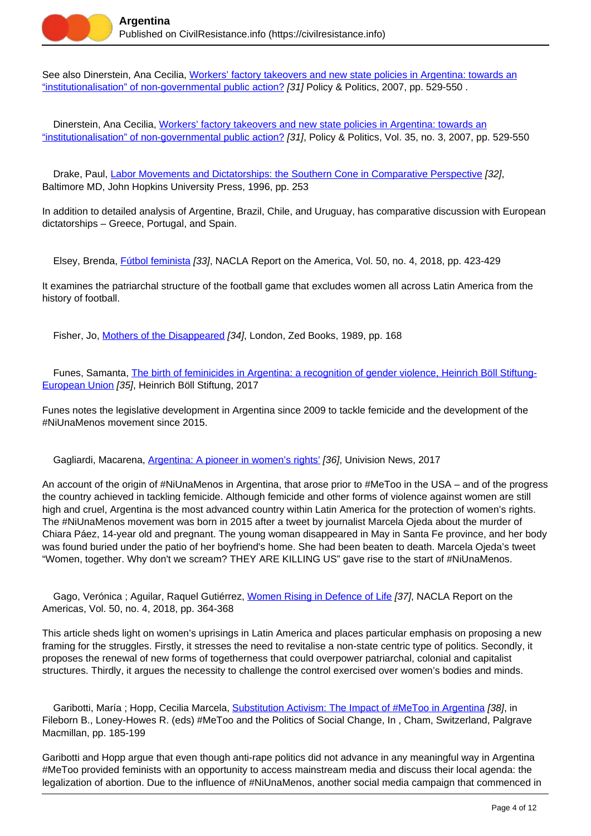

See also Dinerstein, Ana Cecilia, [Workers' factory takeovers and new state policies in Argentina: towards an](https://civilresistance.info/biblio-item/2007/workers-factory-takeovers-and-new-state-policies-argentina-towards) ["institutionalisation" of non-governmental public action?](https://civilresistance.info/biblio-item/2007/workers-factory-takeovers-and-new-state-policies-argentina-towards) [31] Policy & Politics, 2007, pp. 529-550 .

Dinerstein, Ana Cecilia, [Workers' factory takeovers and new state policies in Argentina: towards an](https://civilresistance.info/biblio-item/2007/workers-factory-takeovers-and-new-state-policies-argentina-towards) ["institutionalisation" of non-governmental public action?](https://civilresistance.info/biblio-item/2007/workers-factory-takeovers-and-new-state-policies-argentina-towards) [31], Policy & Politics, Vol. 35, no. 3, 2007, pp. 529-550

 Drake, Paul, [Labor Movements and Dictatorships: the Southern Cone in Comparative Perspective](https://civilresistance.info/biblio-item/1996/labor-movements-and-dictatorships-southern-cone-comparative-perspective) [32], Baltimore MD, John Hopkins University Press, 1996, pp. 253

In addition to detailed analysis of Argentine, Brazil, Chile, and Uruguay, has comparative discussion with European dictatorships – Greece, Portugal, and Spain.

Elsey, Brenda, [Fútbol feminista](https://civilresistance.info/biblio-item/2018/futbol-feminista) [33], NACLA Report on the America, Vol. 50, no. 4, 2018, pp. 423-429

It examines the patriarchal structure of the football game that excludes women all across Latin America from the history of football.

Fisher, Jo, [Mothers of the Disappeared](https://civilresistance.info/biblio-item/1989/mothers-disappeared) [34], London, Zed Books, 1989, pp. 168

Funes, Samanta, [The birth of feminicides in Argentina: a recognition of gender violence, Heinrich Böll Stiftung-](https://civilresistance.info/biblio-item/2017/birth-feminicides-argentina-recognition-gender-violence-heinrich-boll-stiftung)[European Union](https://civilresistance.info/biblio-item/2017/birth-feminicides-argentina-recognition-gender-violence-heinrich-boll-stiftung) [35], Heinrich Böll Stiftung, 2017

Funes notes the legislative development in Argentina since 2009 to tackle femicide and the development of the #NiUnaMenos movement since 2015.

Gagliardi, Macarena, [Argentina: A pioneer in women's rights'](https://civilresistance.info/biblio-item/2017/argentina-pioneer-womens-rights) [36], Univision News, 2017

An account of the origin of #NiUnaMenos in Argentina, that arose prior to #MeToo in the USA – and of the progress the country achieved in tackling femicide. Although femicide and other forms of violence against women are still high and cruel, Argentina is the most advanced country within Latin America for the protection of women's rights. The #NiUnaMenos movement was born in 2015 after a tweet by journalist Marcela Ojeda about the murder of Chiara Páez, 14-year old and pregnant. The young woman disappeared in May in Santa Fe province, and her body was found buried under the patio of her boyfriend's home. She had been beaten to death. Marcela Ojeda's tweet "Women, together. Why don't we scream? THEY ARE KILLING US" gave rise to the start of #NiUnaMenos.

Gago, Verónica ; Aguilar, Raquel Gutiérrez, [Women Rising in Defence of Life](https://civilresistance.info/biblio-item/2018/women-rising-defence-life) [37], NACLA Report on the Americas, Vol. 50, no. 4, 2018, pp. 364-368

This article sheds light on women's uprisings in Latin America and places particular emphasis on proposing a new framing for the struggles. Firstly, it stresses the need to revitalise a non-state centric type of politics. Secondly, it proposes the renewal of new forms of togetherness that could overpower patriarchal, colonial and capitalist structures. Thirdly, it argues the necessity to challenge the control exercised over women's bodies and minds.

Garibotti, María ; Hopp, Cecilia Marcela, [Substitution Activism: The Impact of #MeToo in Argentina](https://civilresistance.info/biblio-item/2019/substitution-activism-impact-metoo-argentina) [38], in Fileborn B., Loney-Howes R. (eds) #MeToo and the Politics of Social Change, In , Cham, Switzerland, Palgrave Macmillan, pp. 185-199

Garibotti and Hopp argue that even though anti-rape politics did not advance in any meaningful way in Argentina #MeToo provided feminists with an opportunity to access mainstream media and discuss their local agenda: the legalization of abortion. Due to the influence of #NiUnaMenos, another social media campaign that commenced in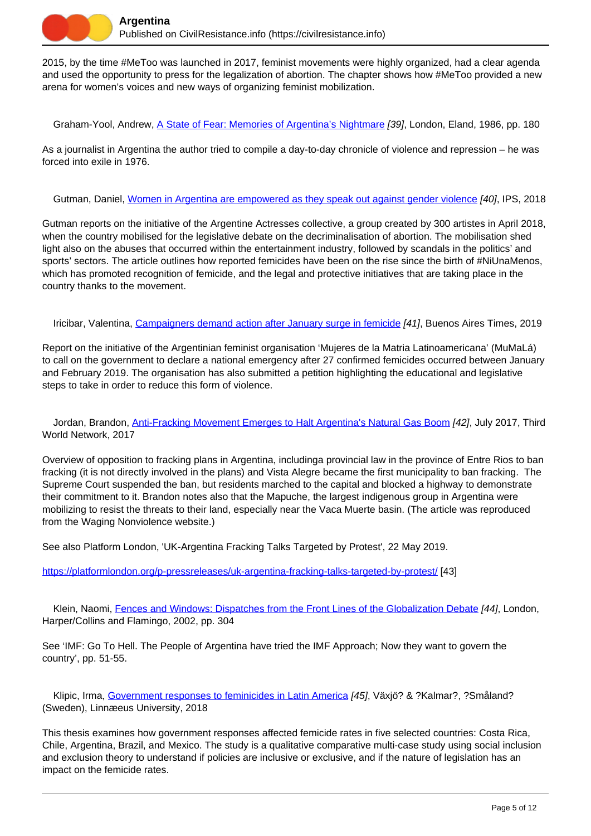

2015, by the time #MeToo was launched in 2017, feminist movements were highly organized, had a clear agenda and used the opportunity to press for the legalization of abortion. The chapter shows how #MeToo provided a new arena for women's voices and new ways of organizing feminist mobilization.

Graham-Yool, Andrew, [A State of Fear: Memories of Argentina's Nightmare](https://civilresistance.info/biblio-item/1986/state-fear-memories-argentinas-nightmare) [39], London, Eland, 1986, pp. 180

As a journalist in Argentina the author tried to compile a day-to-day chronicle of violence and repression – he was forced into exile in 1976.

Gutman, Daniel, [Women in Argentina are empowered as they speak out against gender violence](https://civilresistance.info/biblio-item/2018/women-argentina-are-empowered-they-speak-out-against-gender-violence) [40], IPS, 2018

Gutman reports on the initiative of the Argentine Actresses collective, a group created by 300 artistes in April 2018, when the country mobilised for the legislative debate on the decriminalisation of abortion. The mobilisation shed light also on the abuses that occurred within the entertainment industry, followed by scandals in the politics' and sports' sectors. The article outlines how reported femicides have been on the rise since the birth of #NiUnaMenos, which has promoted recognition of femicide, and the legal and protective initiatives that are taking place in the country thanks to the movement.

Iricibar, Valentina, [Campaigners demand action after January surge in femicide](https://civilresistance.info/biblio-item/2019/campaigners-demand-action-after-january-surge-femicide) [41], Buenos Aires Times, 2019

Report on the initiative of the Argentinian feminist organisation 'Mujeres de la Matria Latinoamericana' (MuMaLá) to call on the government to declare a national emergency after 27 confirmed femicides occurred between January and February 2019. The organisation has also submitted a petition highlighting the educational and legislative steps to take in order to reduce this form of violence.

Jordan, Brandon, [Anti-Fracking Movement Emerges to Halt Argentina's Natural Gas Boom](https://civilresistance.info/biblio-item/2017/anti-fracking-movement-emerges-halt-argentinas-natural-gas-boom) [42], July 2017, Third World Network, 2017

Overview of opposition to fracking plans in Argentina, includinga provincial law in the province of Entre Rios to ban fracking (it is not directly involved in the plans) and Vista Alegre became the first municipality to ban fracking. The Supreme Court suspended the ban, but residents marched to the capital and blocked a highway to demonstrate their commitment to it. Brandon notes also that the Mapuche, the largest indigenous group in Argentina were mobilizing to resist the threats to their land, especially near the Vaca Muerte basin. (The article was reproduced from the Waging Nonviolence website.)

See also Platform London, 'UK-Argentina Fracking Talks Targeted by Protest', 22 May 2019.

<https://platformlondon.org/p-pressreleases/uk-argentina-fracking-talks-targeted-by-protest/> [43]

Klein, Naomi, [Fences and Windows: Dispatches from the Front Lines of the Globalization Debate](https://civilresistance.info/biblio-item/2002/fences-and-windows-dispatches-front-lines-globalization-debate) [44], London, Harper/Collins and Flamingo, 2002, pp. 304

See 'IMF: Go To Hell. The People of Argentina have tried the IMF Approach; Now they want to govern the country', pp. 51-55.

 Klipic, Irma, [Government responses to feminicides in Latin America](https://civilresistance.info/biblio-item/2018/government-responses-feminicides-latin-america) [45], Växjö? & ?Kalmar?, ?Småland? (Sweden), Linnæeus University, 2018

This thesis examines how government responses affected femicide rates in five selected countries: Costa Rica, Chile, Argentina, Brazil, and Mexico. The study is a qualitative comparative multi-case study using social inclusion and exclusion theory to understand if policies are inclusive or exclusive, and if the nature of legislation has an impact on the femicide rates.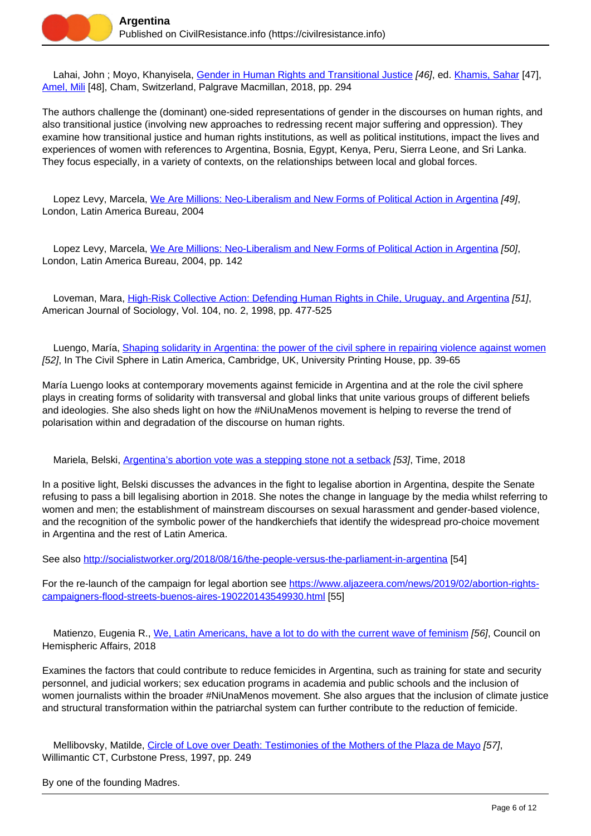

 Lahai, John ; Moyo, Khanyisela, [Gender in Human Rights and Transitional Justice](https://civilresistance.info/biblio-item/2018/gender-human-rights-and-transitional-justice) [46], ed. [Khamis, Sahar](https://civilresistance.info/author/2582) [47], [Amel, Mili](https://civilresistance.info/author/2583) [48], Cham, Switzerland, Palgrave Macmillan, 2018, pp. 294

The authors challenge the (dominant) one-sided representations of gender in the discourses on human rights, and also transitional justice (involving new approaches to redressing recent major suffering and oppression). They examine how transitional justice and human rights institutions, as well as political institutions, impact the lives and experiences of women with references to Argentina, Bosnia, Egypt, Kenya, Peru, Sierra Leone, and Sri Lanka. They focus especially, in a variety of contexts, on the relationships between local and global forces.

 Lopez Levy, Marcela, [We Are Millions: Neo-Liberalism and New Forms of Political Action in Argentina](https://civilresistance.info/biblio-item/2004/we-are-millions-neo-liberalism-and-new-forms-political-action-argentina) [49], London, Latin America Bureau, 2004

Lopez Levy, Marcela, [We Are Millions: Neo-Liberalism and New Forms of Political Action in Argentina](https://civilresistance.info/biblio-item/2004/we-are-millions-neo-liberalism-and-new-forms-political-action-argentina-0) [50], London, Latin America Bureau, 2004, pp. 142

 Loveman, Mara, [High-Risk Collective Action: Defending Human Rights in Chile, Uruguay, and Argentina](https://civilresistance.info/biblio-item/1998/high-risk-collective-action-defending-human-rights-chile-uruguay-and-argentina) [51], American Journal of Sociology, Vol. 104, no. 2, 1998, pp. 477-525

 Luengo, María, [Shaping solidarity in Argentina: the power of the civil sphere in repairing violence against women](https://civilresistance.info/biblio-item/2018/shaping-solidarity-argentina-power-civil-sphere-repairing-violence-against-women) [52], In The Civil Sphere in Latin America, Cambridge, UK, University Printing House, pp. 39-65

María Luengo looks at contemporary movements against femicide in Argentina and at the role the civil sphere plays in creating forms of solidarity with transversal and global links that unite various groups of different beliefs and ideologies. She also sheds light on how the #NiUnaMenos movement is helping to reverse the trend of polarisation within and degradation of the discourse on human rights.

Mariela, Belski, [Argentina's abortion vote was a stepping stone not a setback](https://civilresistance.info/biblio-item/2018/argentinas-abortion-vote-was-stepping-stone-not-setback) [53], Time, 2018

In a positive light, Belski discusses the advances in the fight to legalise abortion in Argentina, despite the Senate refusing to pass a bill legalising abortion in 2018. She notes the change in language by the media whilst referring to women and men; the establishment of mainstream discourses on sexual harassment and gender-based violence, and the recognition of the symbolic power of the handkerchiefs that identify the widespread pro-choice movement in Argentina and the rest of Latin America.

See also<http://socialistworker.org/2018/08/16/the-people-versus-the-parliament-in-argentina> [54]

For the re-launch of the campaign for legal abortion see [https://www.aljazeera.com/news/2019/02/abortion-rights](https://www.aljazeera.com/news/2019/02/abortion-rights-campaigners-flood-streets-buenos-aires-190220143549930.html)[campaigners-flood-streets-buenos-aires-190220143549930.html](https://www.aljazeera.com/news/2019/02/abortion-rights-campaigners-flood-streets-buenos-aires-190220143549930.html) [55]

Matienzo, Eugenia R., [We, Latin Americans, have a lot to do with the current wave of feminism](https://civilresistance.info/biblio-item/2018/we-latin-americans-have-lot-do-current-wave-feminism) [56], Council on Hemispheric Affairs, 2018

Examines the factors that could contribute to reduce femicides in Argentina, such as training for state and security personnel, and judicial workers; sex education programs in academia and public schools and the inclusion of women journalists within the broader #NiUnaMenos movement. She also argues that the inclusion of climate justice and structural transformation within the patriarchal system can further contribute to the reduction of femicide.

Mellibovsky, Matilde, [Circle of Love over Death: Testimonies of the Mothers of the Plaza de Mayo](https://civilresistance.info/biblio-item/1997/circle-love-over-death-testimonies-mothers-plaza-de-mayo) [57], Willimantic CT, Curbstone Press, 1997, pp. 249

By one of the founding Madres.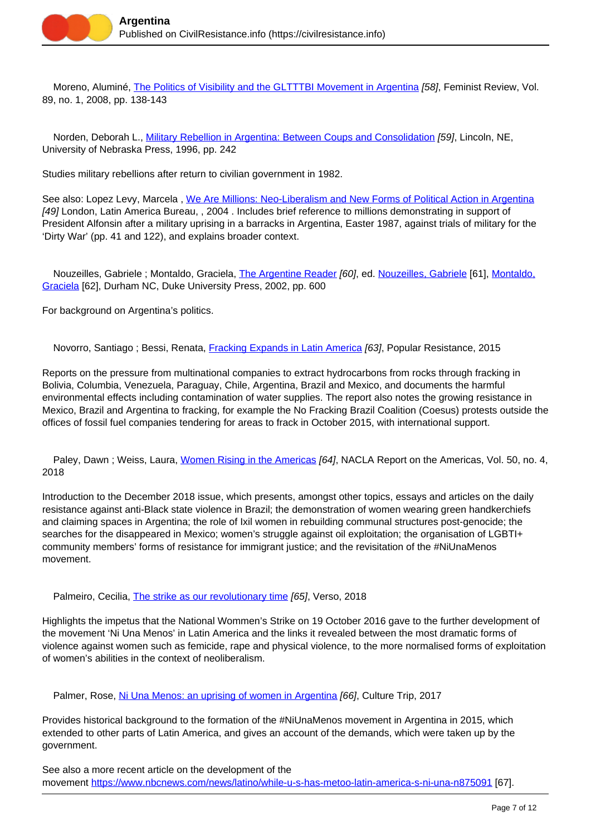

 Moreno, Aluminé, [The Politics of Visibility and the GLTTTBI Movement in Argentina](https://civilresistance.info/biblio-item/2008/politics-visibility-and-gltttbi-movement-argentina) [58], Feminist Review, Vol. 89, no. 1, 2008, pp. 138-143

 Norden, Deborah L., [Military Rebellion in Argentina: Between Coups and Consolidation](https://civilresistance.info/biblio-item/1996/military-rebellion-argentina-between-coups-and-consolidation) [59], Lincoln, NE, University of Nebraska Press, 1996, pp. 242

Studies military rebellions after return to civilian government in 1982.

See also: Lopez Levy, Marcela, [We Are Millions: Neo-Liberalism and New Forms of Political Action in Argentina](https://civilresistance.info/biblio-item/2004/we-are-millions-neo-liberalism-and-new-forms-political-action-argentina) [49] London, Latin America Bureau, , 2004 . Includes brief reference to millions demonstrating in support of President Alfonsin after a military uprising in a barracks in Argentina, Easter 1987, against trials of military for the 'Dirty War' (pp. 41 and 122), and explains broader context.

Nouzeilles, Gabriele ; Montaldo, Graciela, [The Argentine Reader](https://civilresistance.info/biblio-item/2002/argentine-reader) [60], ed. [Nouzeilles, Gabriele](https://civilresistance.info/author/899) [61], [Montaldo,](https://civilresistance.info/author/900) [Graciela](https://civilresistance.info/author/900) [62], Durham NC, Duke University Press, 2002, pp. 600

For background on Argentina's politics.

Novorro, Santiago ; Bessi, Renata, [Fracking Expands in Latin America](https://civilresistance.info/biblio-item/2015/fracking-expands-latin-america) [63], Popular Resistance, 2015

Reports on the pressure from multinational companies to extract hydrocarbons from rocks through fracking in Bolivia, Columbia, Venezuela, Paraguay, Chile, Argentina, Brazil and Mexico, and documents the harmful environmental effects including contamination of water supplies. The report also notes the growing resistance in Mexico, Brazil and Argentina to fracking, for example the No Fracking Brazil Coalition (Coesus) protests outside the offices of fossil fuel companies tendering for areas to frack in October 2015, with international support.

Paley, Dawn; Weiss, Laura, [Women Rising in the Americas](https://civilresistance.info/biblio-item/2018/women-rising-americas) [64], NACLA Report on the Americas, Vol. 50, no. 4, 2018

Introduction to the December 2018 issue, which presents, amongst other topics, essays and articles on the daily resistance against anti-Black state violence in Brazil; the demonstration of women wearing green handkerchiefs and claiming spaces in Argentina; the role of Ixil women in rebuilding communal structures post-genocide; the searches for the disappeared in Mexico; women's struggle against oil exploitation; the organisation of LGBTI+ community members' forms of resistance for immigrant justice; and the revisitation of the #NiUnaMenos movement.

Palmeiro, Cecilia, [The strike as our revolutionary time](https://civilresistance.info/biblio-item/2018/strike-our-revolutionary-time) [65], Verso, 2018

Highlights the impetus that the National Wommen's Strike on 19 October 2016 gave to the further development of the movement 'Ni Una Menos' in Latin America and the links it revealed between the most dramatic forms of violence against women such as femicide, rape and physical violence, to the more normalised forms of exploitation of women's abilities in the context of neoliberalism.

Palmer, Rose, [Ni Una Menos: an uprising of women in Argentina](https://civilresistance.info/biblio-item/2017/ni-una-menos-uprising-women-argentina) [66], Culture Trip, 2017

Provides historical background to the formation of the #NiUnaMenos movement in Argentina in 2015, which extended to other parts of Latin America, and gives an account of the demands, which were taken up by the government.

See also a more recent article on the development of the movement <https://www.nbcnews.com/news/latino/while-u-s-has-metoo-latin-america-s-ni-una-n875091> [67].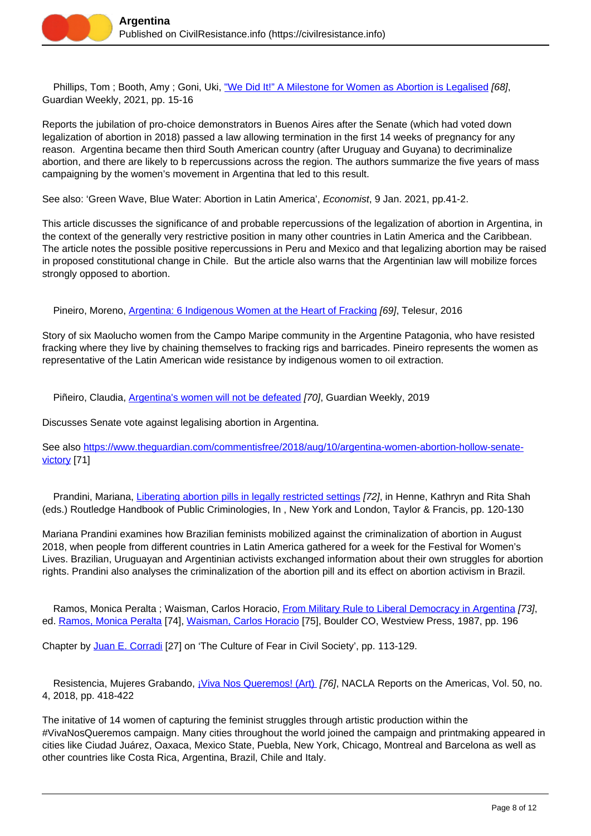Phillips, Tom ; Booth, Amy ; Goni, Uki, ["We Did It!" A Milestone for Women as Abortion is Legalised](https://civilresistance.info/biblio-item/2021/we-did-it-milestone-women-abortion-legalised) [68], Guardian Weekly, 2021, pp. 15-16

Reports the jubilation of pro-choice demonstrators in Buenos Aires after the Senate (which had voted down legalization of abortion in 2018) passed a law allowing termination in the first 14 weeks of pregnancy for any reason. Argentina became then third South American country (after Uruguay and Guyana) to decriminalize abortion, and there are likely to b repercussions across the region. The authors summarize the five years of mass campaigning by the women's movement in Argentina that led to this result.

See also: 'Green Wave, Blue Water: Abortion in Latin America', Economist, 9 Jan. 2021, pp.41-2.

This article discusses the significance of and probable repercussions of the legalization of abortion in Argentina, in the context of the generally very restrictive position in many other countries in Latin America and the Caribbean. The article notes the possible positive repercussions in Peru and Mexico and that legalizing abortion may be raised in proposed constitutional change in Chile. But the article also warns that the Argentinian law will mobilize forces strongly opposed to abortion.

Pineiro, Moreno, [Argentina: 6 Indigenous Women at the Heart of Fracking](https://civilresistance.info/biblio-item/2016/argentina-6-indigenous-women-heart-fracking) [69], Telesur, 2016

Story of six Maolucho women from the Campo Maripe community in the Argentine Patagonia, who have resisted fracking where they live by chaining themselves to fracking rigs and barricades. Pineiro represents the women as representative of the Latin American wide resistance by indigenous women to oil extraction.

Piñeiro, Claudia, [Argentina's women will not be defeated](https://civilresistance.info/biblio-item/2019/argentinas-women-will-not-be-defeated) [70], Guardian Weekly, 2019

Discusses Senate vote against legalising abortion in Argentina.

See also [https://www.theguardian.com/commentisfree/2018/aug/10/argentina-women-abortion-hollow-senate](https://www.theguardian.com/commentisfree/2018/aug/10/argentina-women-abortion-hollow-senate-victory)[victory](https://www.theguardian.com/commentisfree/2018/aug/10/argentina-women-abortion-hollow-senate-victory) [71]

Prandini, Mariana, [Liberating abortion pills in legally restricted settings](https://civilresistance.info/biblio-item/2020/liberating-abortion-pills-legally-restricted-settings) [72], in Henne, Kathryn and Rita Shah (eds.) Routledge Handbook of Public Criminologies, In , New York and London, Taylor & Francis, pp. 120-130

Mariana Prandini examines how Brazilian feminists mobilized against the criminalization of abortion in August 2018, when people from different countries in Latin America gathered for a week for the Festival for Women's Lives. Brazilian, Uruguayan and Argentinian activists exchanged information about their own struggles for abortion rights. Prandini also analyses the criminalization of the abortion pill and its effect on abortion activism in Brazil.

Ramos, Monica Peralta ; Waisman, Carlos Horacio, [From Military Rule to Liberal Democracy in Argentina](https://civilresistance.info/biblio-item/1987/military-rule-liberal-democracy-argentina) [73], ed. [Ramos, Monica Peralta](https://civilresistance.info/author/909) [74], [Waisman, Carlos Horacio](https://civilresistance.info/author/910) [75], Boulder CO, Westview Press, 1987, pp. 196

Chapter by [Juan E. Corradi](https://civilresistance.info/author/879) [27] on 'The Culture of Fear in Civil Society', pp. 113-129.

Resistencia, Mujeres Grabando, *¡Viva Nos Queremos! (Art) [76]*, NACLA Reports on the Americas, Vol. 50, no. 4, 2018, pp. 418-422

The initative of 14 women of capturing the feminist struggles through artistic production within the #VivaNosQueremos campaign. Many cities throughout the world joined the campaign and printmaking appeared in cities like Ciudad Juárez, Oaxaca, Mexico State, Puebla, New York, Chicago, Montreal and Barcelona as well as other countries like Costa Rica, Argentina, Brazil, Chile and Italy.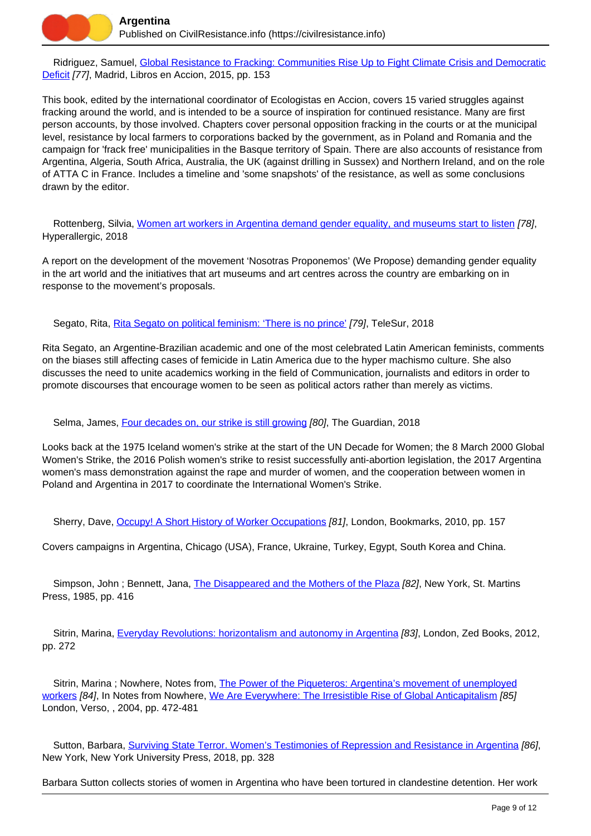

 Ridriguez, Samuel, [Global Resistance to Fracking: Communities Rise Up to Fight Climate Crisis and Democratic](https://civilresistance.info/biblio-item/2015/global-resistance-fracking-communities-rise-fight-climate-crisis-and-democratic) [Deficit](https://civilresistance.info/biblio-item/2015/global-resistance-fracking-communities-rise-fight-climate-crisis-and-democratic) [77], Madrid, Libros en Accion, 2015, pp. 153

This book, edited by the international coordinator of Ecologistas en Accion, covers 15 varied struggles against fracking around the world, and is intended to be a source of inspiration for continued resistance. Many are first person accounts, by those involved. Chapters cover personal opposition fracking in the courts or at the municipal level, resistance by local farmers to corporations backed by the government, as in Poland and Romania and the campaign for 'frack free' municipalities in the Basque territory of Spain. There are also accounts of resistance from Argentina, Algeria, South Africa, Australia, the UK (against drilling in Sussex) and Northern Ireland, and on the role of ATTA C in France. Includes a timeline and 'some snapshots' of the resistance, as well as some conclusions drawn by the editor.

 Rottenberg, Silvia, [Women art workers in Argentina demand gender equality, and museums start to listen](https://civilresistance.info/biblio-item/2018/women-art-workers-argentina-demand-gender-equality-and-museums-start-listen) [78], Hyperallergic, 2018

A report on the development of the movement 'Nosotras Proponemos' (We Propose) demanding gender equality in the art world and the initiatives that art museums and art centres across the country are embarking on in response to the movement's proposals.

Segato, Rita, [Rita Segato on political feminism: 'There is no prince'](https://civilresistance.info/biblio-item/2018/rita-segato-political-feminism-there-no-prince-0) [79], TeleSur, 2018

Rita Segato, an Argentine-Brazilian academic and one of the most celebrated Latin American feminists, comments on the biases still affecting cases of femicide in Latin America due to the hyper machismo culture. She also discusses the need to unite academics working in the field of Communication, journalists and editors in order to promote discourses that encourage women to be seen as political actors rather than merely as victims.

Selma, James, [Four decades on, our strike is still growing](https://civilresistance.info/biblio-item/2018/four-decades-our-strike-still-growing) [80], The Guardian, 2018

Looks back at the 1975 Iceland women's strike at the start of the UN Decade for Women; the 8 March 2000 Global Women's Strike, the 2016 Polish women's strike to resist successfully anti-abortion legislation, the 2017 Argentina women's mass demonstration against the rape and murder of women, and the cooperation between women in Poland and Argentina in 2017 to coordinate the International Women's Strike.

Sherry, Dave, [Occupy! A Short History of Worker Occupations](https://civilresistance.info/biblio-item/2010/occupy-short-history-worker-occupations) [81], London, Bookmarks, 2010, pp. 157

Covers campaigns in Argentina, Chicago (USA), France, Ukraine, Turkey, Egypt, South Korea and China.

Simpson, John; Bennett, Jana, [The Disappeared and the Mothers of the Plaza](https://civilresistance.info/biblio-item/1985/disappeared-and-mothers-plaza) [82], New York, St. Martins Press, 1985, pp. 416

Sitrin, Marina, [Everyday Revolutions: horizontalism and autonomy in Argentina](https://civilresistance.info/biblio-item/2012/everyday-revolutions-horizontalism-and-autonomy-argentina) [83], London, Zed Books, 2012, pp. 272

 Sitrin, Marina ; Nowhere, Notes from, [The Power of the Piqueteros: Argentina's movement of unemployed](https://civilresistance.info/biblio-item/2004/power-piqueteros-argentinas-movement-unemployed-workers) [workers](https://civilresistance.info/biblio-item/2004/power-piqueteros-argentinas-movement-unemployed-workers) [84], In Notes from Nowhere, [We Are Everywhere: The Irresistible Rise of Global Anticapitalism](https://civilresistance.info/biblio-item/2004/we-are-everywhere-irresistible-rise-global-anticapitalism) [85] London, Verso, , 2004, pp. 472-481

 Sutton, Barbara, [Surviving State Terror. Women's Testimonies of Repression and Resistance in Argentina](https://civilresistance.info/biblio-item/2018/surviving-state-terror-womens-testimonies-repression-and-resistance-argentina) [86], New York, New York University Press, 2018, pp. 328

Barbara Sutton collects stories of women in Argentina who have been tortured in clandestine detention. Her work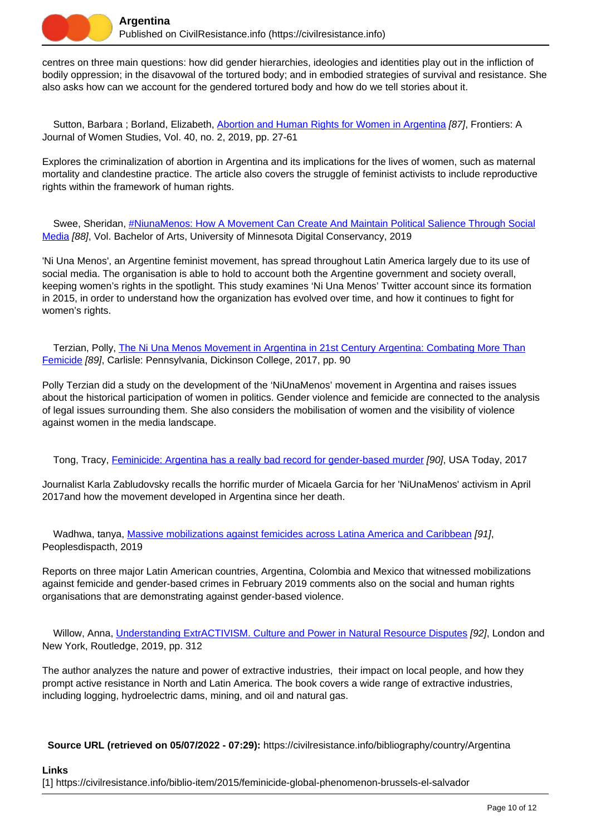

centres on three main questions: how did gender hierarchies, ideologies and identities play out in the infliction of bodily oppression; in the disavowal of the tortured body; and in embodied strategies of survival and resistance. She also asks how can we account for the gendered tortured body and how do we tell stories about it.

Sutton, Barbara; Borland, Elizabeth, [Abortion and Human Rights for Women in Argentina](https://civilresistance.info/biblio-item/2019/abortion-and-human-rights-women-argentina) [87], Frontiers: A Journal of Women Studies, Vol. 40, no. 2, 2019, pp. 27-61

Explores the criminalization of abortion in Argentina and its implications for the lives of women, such as maternal mortality and clandestine practice. The article also covers the struggle of feminist activists to include reproductive rights within the framework of human rights.

 Swee, Sheridan, [#NiunaMenos: How A Movement Can Create And Maintain Political Salience Through Social](https://civilresistance.info/biblio-item/2019/niunamenos-how-movement-can-create-and-maintain-political-salience-through-social) [Media](https://civilresistance.info/biblio-item/2019/niunamenos-how-movement-can-create-and-maintain-political-salience-through-social) [88], Vol. Bachelor of Arts, University of Minnesota Digital Conservancy, 2019

'Ni Una Menos', an Argentine feminist movement, has spread throughout Latin America largely due to its use of social media. The organisation is able to hold to account both the Argentine government and society overall, keeping women's rights in the spotlight. This study examines 'Ni Una Menos' Twitter account since its formation in 2015, in order to understand how the organization has evolved over time, and how it continues to fight for women's rights.

 Terzian, Polly, [The Ni Una Menos Movement in Argentina in 21st Century Argentina: Combating More Than](https://civilresistance.info/biblio-item/2017/ni-una-menos-movement-argentina-21st-century-argentina-combating-more-femicide) [Femicide](https://civilresistance.info/biblio-item/2017/ni-una-menos-movement-argentina-21st-century-argentina-combating-more-femicide) [89], Carlisle: Pennsylvania, Dickinson College, 2017, pp. 90

Polly Terzian did a study on the development of the 'NiUnaMenos' movement in Argentina and raises issues about the historical participation of women in politics. Gender violence and femicide are connected to the analysis of legal issues surrounding them. She also considers the mobilisation of women and the visibility of violence against women in the media landscape.

Tong, Tracy, [Feminicide: Argentina has a really bad record for gender-based murder](https://civilresistance.info/biblio-item/2017/feminicide-argentina-has-really-bad-record-gender-based-murder) [90], USA Today, 2017

Journalist Karla Zabludovsky recalls the horrific murder of Micaela Garcia for her 'NiUnaMenos' activism in April 2017and how the movement developed in Argentina since her death.

 Wadhwa, tanya, [Massive mobilizations against femicides across Latina America and Caribbean](https://civilresistance.info/biblio-item/2019/massive-mobilizations-against-femicides-across-latina-america-and-caribbean) [91], Peoplesdispacth, 2019

Reports on three major Latin American countries, Argentina, Colombia and Mexico that witnessed mobilizations against femicide and gender-based crimes in February 2019 comments also on the social and human rights organisations that are demonstrating against gender-based violence.

Willow, Anna, [Understanding ExtrACTIVISM. Culture and Power in Natural Resource Disputes](https://civilresistance.info/biblio-item/2019/understanding-extractivism-culture-and-power-natural-resource-disputes) [92], London and New York, Routledge, 2019, pp. 312

The author analyzes the nature and power of extractive industries, their impact on local people, and how they prompt active resistance in North and Latin America. The book covers a wide range of extractive industries, including logging, hydroelectric dams, mining, and oil and natural gas.

**Source URL (retrieved on 05/07/2022 - 07:29):** https://civilresistance.info/bibliography/country/Argentina

## **Links**

[1] https://civilresistance.info/biblio-item/2015/feminicide-global-phenomenon-brussels-el-salvador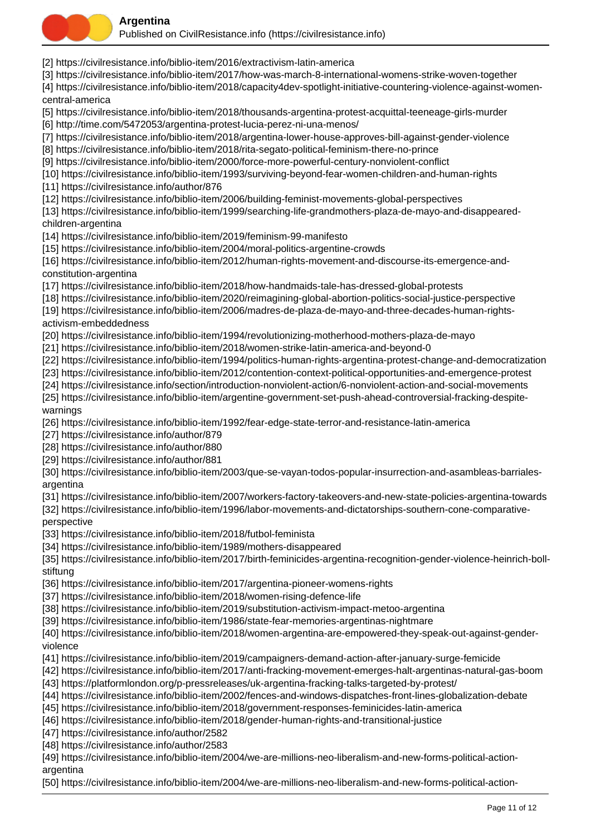

Published on CivilResistance.info (https://civilresistance.info)

- [2] https://civilresistance.info/biblio-item/2016/extractivism-latin-america
- [3] https://civilresistance.info/biblio-item/2017/how-was-march-8-international-womens-strike-woven-together

[4] https://civilresistance.info/biblio-item/2018/capacity4dev-spotlight-initiative-countering-violence-against-womencentral-america

[5] https://civilresistance.info/biblio-item/2018/thousands-argentina-protest-acquittal-teeneage-girls-murder [6] http://time.com/5472053/argentina-protest-lucia-perez-ni-una-menos/

- [7] https://civilresistance.info/biblio-item/2018/argentina-lower-house-approves-bill-against-gender-violence
- [8] https://civilresistance.info/biblio-item/2018/rita-segato-political-feminism-there-no-prince
- [9] https://civilresistance.info/biblio-item/2000/force-more-powerful-century-nonviolent-conflict

[10] https://civilresistance.info/biblio-item/1993/surviving-beyond-fear-women-children-and-human-rights

[11] https://civilresistance.info/author/876

[12] https://civilresistance.info/biblio-item/2006/building-feminist-movements-global-perspectives

[13] https://civilresistance.info/biblio-item/1999/searching-life-grandmothers-plaza-de-mayo-and-disappearedchildren-argentina

[14] https://civilresistance.info/biblio-item/2019/feminism-99-manifesto

[15] https://civilresistance.info/biblio-item/2004/moral-politics-argentine-crowds

[16] https://civilresistance.info/biblio-item/2012/human-rights-movement-and-discourse-its-emergence-andconstitution-argentina

[17] https://civilresistance.info/biblio-item/2018/how-handmaids-tale-has-dressed-global-protests

[18] https://civilresistance.info/biblio-item/2020/reimagining-global-abortion-politics-social-justice-perspective

[19] https://civilresistance.info/biblio-item/2006/madres-de-plaza-de-mayo-and-three-decades-human-rightsactivism-embeddedness

[20] https://civilresistance.info/biblio-item/1994/revolutionizing-motherhood-mothers-plaza-de-mayo

[21] https://civilresistance.info/biblio-item/2018/women-strike-latin-america-and-beyond-0

[22] https://civilresistance.info/biblio-item/1994/politics-human-rights-argentina-protest-change-and-democratization

- [23] https://civilresistance.info/biblio-item/2012/contention-context-political-opportunities-and-emergence-protest
- [24] https://civilresistance.info/section/introduction-nonviolent-action/6-nonviolent-action-and-social-movements

[25] https://civilresistance.info/biblio-item/argentine-government-set-push-ahead-controversial-fracking-despitewarnings

[26] https://civilresistance.info/biblio-item/1992/fear-edge-state-terror-and-resistance-latin-america

[27] https://civilresistance.info/author/879

[28] https://civilresistance.info/author/880

[29] https://civilresistance.info/author/881

[30] https://civilresistance.info/biblio-item/2003/que-se-vayan-todos-popular-insurrection-and-asambleas-barrialesargentina

[31] https://civilresistance.info/biblio-item/2007/workers-factory-takeovers-and-new-state-policies-argentina-towards

[32] https://civilresistance.info/biblio-item/1996/labor-movements-and-dictatorships-southern-cone-comparative-

## perspective

[33] https://civilresistance.info/biblio-item/2018/futbol-feminista

[34] https://civilresistance.info/biblio-item/1989/mothers-disappeared

[35] https://civilresistance.info/biblio-item/2017/birth-feminicides-argentina-recognition-gender-violence-heinrich-bollstiftung

[36] https://civilresistance.info/biblio-item/2017/argentina-pioneer-womens-rights

[37] https://civilresistance.info/biblio-item/2018/women-rising-defence-life

[38] https://civilresistance.info/biblio-item/2019/substitution-activism-impact-metoo-argentina

[39] https://civilresistance.info/biblio-item/1986/state-fear-memories-argentinas-nightmare

[40] https://civilresistance.info/biblio-item/2018/women-argentina-are-empowered-they-speak-out-against-genderviolence

[41] https://civilresistance.info/biblio-item/2019/campaigners-demand-action-after-january-surge-femicide

[42] https://civilresistance.info/biblio-item/2017/anti-fracking-movement-emerges-halt-argentinas-natural-gas-boom

[43] https://platformlondon.org/p-pressreleases/uk-argentina-fracking-talks-targeted-by-protest/

[44] https://civilresistance.info/biblio-item/2002/fences-and-windows-dispatches-front-lines-globalization-debate

[45] https://civilresistance.info/biblio-item/2018/government-responses-feminicides-latin-america

[46] https://civilresistance.info/biblio-item/2018/gender-human-rights-and-transitional-justice

[47] https://civilresistance.info/author/2582

[48] https://civilresistance.info/author/2583

[49] https://civilresistance.info/biblio-item/2004/we-are-millions-neo-liberalism-and-new-forms-political-actionargentina

[50] https://civilresistance.info/biblio-item/2004/we-are-millions-neo-liberalism-and-new-forms-political-action-